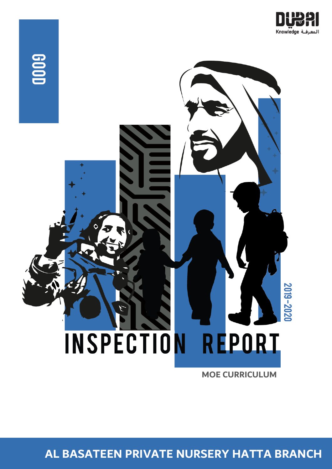



**MOE CURRICULUM**

**AL BASATEEN PRIVATE NURSERY HATTA BRANCH**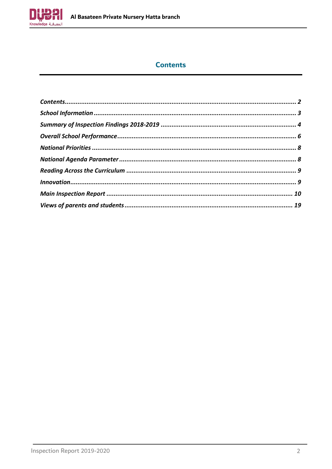

### **Contents**

<span id="page-1-0"></span>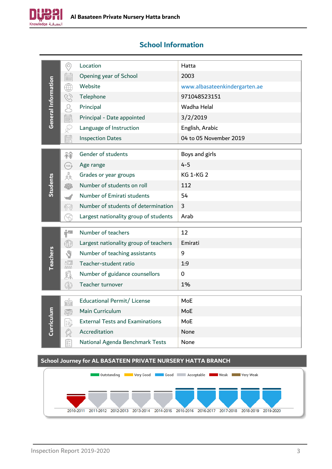

### <span id="page-2-0"></span>**School Information**

|                     | $\odot$                                                                                                 | Location                                                    | Hatta                         |
|---------------------|---------------------------------------------------------------------------------------------------------|-------------------------------------------------------------|-------------------------------|
|                     | $\mathbb{R}$                                                                                            | Opening year of School                                      | 2003                          |
| General Information | ₩                                                                                                       | Website                                                     | www.albasateenkindergarten.ae |
|                     | Q                                                                                                       | Telephone                                                   | 971048523151                  |
|                     | Q                                                                                                       | Principal                                                   | Wadha Helal                   |
|                     | UU UU                                                                                                   | Principal - Date appointed                                  | 3/2/2019                      |
|                     | $\mathbb{S}$                                                                                            | Language of Instruction                                     | English, Arabic               |
|                     | 的                                                                                                       | <b>Inspection Dates</b>                                     | 04 to 05 November 2019        |
|                     |                                                                                                         | Gender of students                                          | Boys and girls                |
|                     | 释                                                                                                       |                                                             | $4 - 5$                       |
|                     | AGE                                                                                                     | Age range                                                   | <b>KG 1-KG 2</b>              |
| Students            | $3^{0}^{0}$                                                                                             | Grades or year groups<br>Number of students on roll         | 112                           |
|                     | 帶                                                                                                       |                                                             |                               |
|                     |                                                                                                         | Number of Emirati students                                  | 54                            |
|                     | (SP)                                                                                                    | Number of students of determination                         | 3                             |
|                     |                                                                                                         | Largest nationality group of students                       | Arab                          |
|                     | Ĥ.                                                                                                      | Number of teachers                                          | 12                            |
|                     | $\bigoplus$                                                                                             | Largest nationality group of teachers                       | Emirati                       |
| <b>Teachers</b>     | A)                                                                                                      | Number of teaching assistants                               | 9                             |
|                     |                                                                                                         | Teacher-student ratio                                       | 1:9                           |
|                     | <b>FID</b><br>COM                                                                                       | Number of guidance counsellors                              | $\mathbf 0$                   |
|                     | $\circledS$                                                                                             | Teacher turnover                                            | 1%                            |
|                     |                                                                                                         |                                                             |                               |
|                     | <b>HAN</b>                                                                                              | Educational Permit/ License                                 | MoE                           |
|                     |                                                                                                         | Main Curriculum                                             | MoE                           |
| Curriculum          | 霉                                                                                                       | <b>External Tests and Examinations</b>                      | MoE                           |
|                     |                                                                                                         | Accreditation                                               | None                          |
|                     | $\begin{bmatrix} \overline{\mathbf{g}} \\ \overline{\mathbf{g}} \\ \overline{\mathbf{u}} \end{bmatrix}$ | National Agenda Benchmark Tests                             | None                          |
|                     |                                                                                                         | School Journey for AL BASATEEN PRIVATE NURSERY HATTA BRANCH |                               |

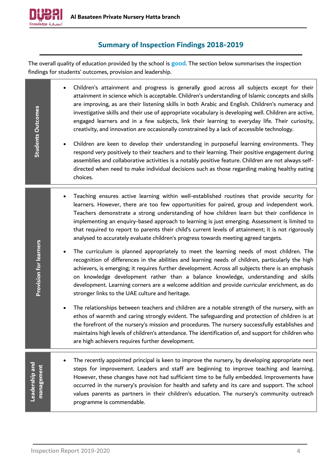

### **Summary of Inspection Findings 2018-2019**

<span id="page-3-0"></span>The overall quality of education provided by the school is **good**. The section below summarises the inspection findings for students' outcomes, provision and leadership.

| <b>Students Outcomes</b>     | Children's attainment and progress is generally good across all subjects except for their<br>attainment in science which is acceptable. Children's understanding of Islamic concepts and skills<br>are improving, as are their listening skills in both Arabic and English. Children's numeracy and<br>investigative skills and their use of appropriate vocabulary is developing well. Children are active,<br>engaged learners and in a few subjects, link their learning to everyday life. Their curiosity,<br>creativity, and innovation are occasionally constrained by a lack of accessible technology.<br>Children are keen to develop their understanding in purposeful learning environments. They<br>respond very positively to their teachers and to their learning. Their positive engagement during<br>assemblies and collaborative activities is a notably positive feature. Children are not always self-<br>directed when need to make individual decisions such as those regarding making healthy eating<br>choices. |
|------------------------------|---------------------------------------------------------------------------------------------------------------------------------------------------------------------------------------------------------------------------------------------------------------------------------------------------------------------------------------------------------------------------------------------------------------------------------------------------------------------------------------------------------------------------------------------------------------------------------------------------------------------------------------------------------------------------------------------------------------------------------------------------------------------------------------------------------------------------------------------------------------------------------------------------------------------------------------------------------------------------------------------------------------------------------------|
|                              | Teaching ensures active learning within well-established routines that provide security for<br>learners. However, there are too few opportunities for paired, group and independent work.<br>Teachers demonstrate a strong understanding of how children learn but their confidence in<br>implementing an enquiry-based approach to learning is just emerging. Assessment is limited to<br>that required to report to parents their child's current levels of attainment; it is not rigorously<br>analysed to accurately evaluate children's progress towards meeting agreed targets.                                                                                                                                                                                                                                                                                                                                                                                                                                                 |
| Provision for learners       | The curriculum is planned appropriately to meet the learning needs of most children. The<br>recognition of differences in the abilities and learning needs of children, particularly the high<br>achievers, is emerging; it requires further development. Across all subjects there is an emphasis<br>on knowledge development rather than a balance knowledge, understanding and skills<br>development. Learning corners are a welcome addition and provide curricular enrichment, as do<br>stronger links to the UAE culture and heritage.                                                                                                                                                                                                                                                                                                                                                                                                                                                                                          |
|                              | The relationships between teachers and children are a notable strength of the nursery, with an<br>ethos of warmth and caring strongly evident. The safeguarding and protection of children is at<br>the forefront of the nursery's mission and procedures. The nursery successfully establishes and<br>maintains high levels of children's attendance. The identification of, and support for children who<br>are high achievers requires further development.                                                                                                                                                                                                                                                                                                                                                                                                                                                                                                                                                                        |
| Leadership and<br>management | The recently appointed principal is keen to improve the nursery, by developing appropriate next<br>steps for improvement. Leaders and staff are beginning to improve teaching and learning.<br>However, these changes have not had sufficient time to be fully embedded. Improvements have<br>occurred in the nursery's provision for health and safety and its care and support. The school<br>values parents as partners in their children's education. The nursery's community outreach<br>programme is commendable.                                                                                                                                                                                                                                                                                                                                                                                                                                                                                                               |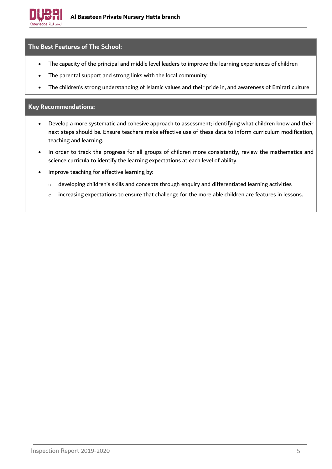

#### **The Best Features of The School:**

- The capacity of the principal and middle level leaders to improve the learning experiences of children
- The parental support and strong links with the local community
- The children's strong understanding of Islamic values and their pride in, and awareness of Emirati culture

### **Key Recommendations:**

- Develop a more systematic and cohesive approach to assessment; identifying what children know and their next steps should be. Ensure teachers make effective use of these data to inform curriculum modification, teaching and learning.
- In order to track the progress for all groups of children more consistently, review the mathematics and science curricula to identify the learning expectations at each level of ability.
- Improve teaching for effective learning by:
	- o developing children's skills and concepts through enquiry and differentiated learning activities
	- o increasing expectations to ensure that challenge for the more able children are features in lessons.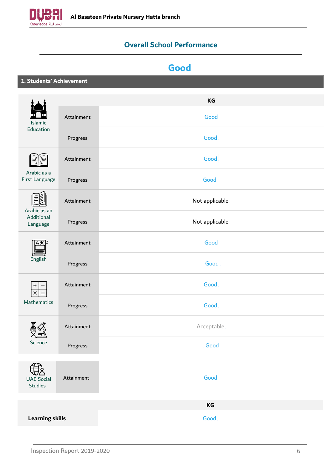<span id="page-5-0"></span>

### **Overall School Performance**

## **Good**

**1. Students' Achievement**

|                                     |            | KG             |
|-------------------------------------|------------|----------------|
| Islamic                             | Attainment | Good           |
| Education                           | Progress   | Good           |
|                                     | Attainment | Good           |
| Arabic as a<br>First Language       | Progress   | Good           |
| Arabic as an                        | Attainment | Not applicable |
| Additional<br>Language              | Progress   | Not applicable |
| ABC<br>English                      | Attainment | Good           |
|                                     | Progress   | Good           |
| +<br>$\times$                       | Attainment | Good           |
| Mathematics                         | Progress   | Good           |
|                                     | Attainment | Acceptable     |
| دسہ<br>Science                      | Progress   | Good           |
| <b>UAE Social</b><br><b>Studies</b> | Attainment | Good           |
|                                     |            | KG             |
| <b>Learning skills</b>              |            | Good           |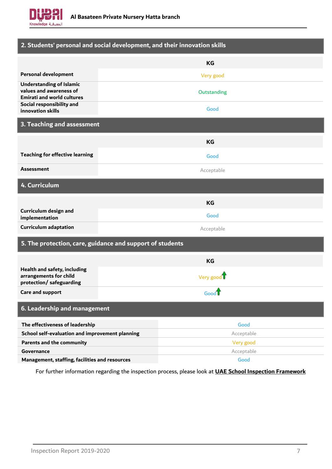

| 2. Students' personal and social development, and their innovation skills                       |                                                           |  |
|-------------------------------------------------------------------------------------------------|-----------------------------------------------------------|--|
|                                                                                                 | <b>KG</b>                                                 |  |
| <b>Personal development</b>                                                                     | Very good                                                 |  |
| <b>Understanding of Islamic</b><br>values and awareness of<br><b>Emirati and world cultures</b> | Outstanding                                               |  |
| Social responsibility and<br>innovation skills                                                  | Good                                                      |  |
| 3. Teaching and assessment                                                                      |                                                           |  |
|                                                                                                 | <b>KG</b>                                                 |  |
| <b>Teaching for effective learning</b>                                                          | Good                                                      |  |
| <b>Assessment</b>                                                                               | Acceptable                                                |  |
| 4. Curriculum                                                                                   |                                                           |  |
|                                                                                                 | <b>KG</b>                                                 |  |
| Curriculum design and<br>implementation                                                         | Good                                                      |  |
| <b>Curriculum adaptation</b>                                                                    | Acceptable                                                |  |
|                                                                                                 | 5. The protection, care, guidance and support of students |  |
|                                                                                                 | <b>KG</b>                                                 |  |
| Health and safety, including<br>arrangements for child<br>protection/ safeguarding              | Very good                                                 |  |
| <b>Care and support</b>                                                                         | Good <sup>7</sup>                                         |  |
| 6. Leadership and management                                                                    |                                                           |  |
| The effectiveness of leadership                                                                 | Good                                                      |  |
| School self-evaluation and improvement planning                                                 | Acceptable                                                |  |
| <b>Parents and the community</b>                                                                | Very good                                                 |  |
| Governance                                                                                      | Acceptable                                                |  |
| Management, staffing, facilities and resources                                                  | Good                                                      |  |

For further information regarding the inspection process, please look at **[UAE School Inspection Framework](https://www.khda.gov.ae/Areas/Administration/Content/FileUploads/Publication/Documents/English/20170112135640_KHDAINSPECTIONFRAMEWORKEN.pdf)**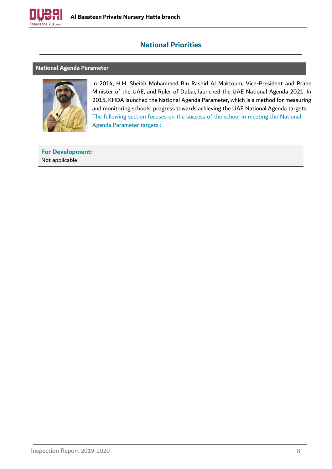

### **National Priorities**

#### <span id="page-7-1"></span><span id="page-7-0"></span>**National Agenda Parameter**



In 2014, H.H. Sheikh Mohammed Bin Rashid Al Maktoum, Vice-President and Prime Minister of the UAE, and Ruler of Dubai, launched the UAE National Agenda 2021. In 2015, KHDA launched the National Agenda Parameter, which is a method for measuring and monitoring schools' progress towards achieving the UAE National Agenda targets. The following section focuses on the success of the school in meeting the National Agenda Parameter targets :

**For Development:** Not applicable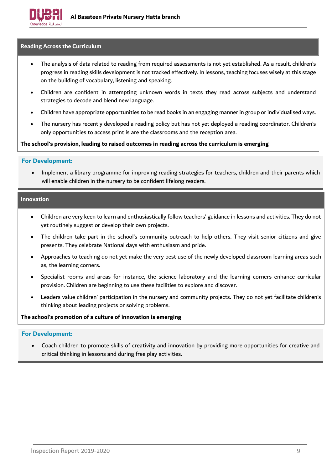

#### <span id="page-8-0"></span>**Reading Across the Curriculum**

- The analysis of data related to reading from required assessments is not yet established. As a result, children's progress in reading skills development is not tracked effectively. In lessons, teaching focuses wisely at this stage on the building of vocabulary, listening and speaking.
- Children are confident in attempting unknown words in texts they read across subjects and understand strategies to decode and blend new language.
- Children have appropriate opportunities to be read books in an engaging manner in group or individualised ways.
- The nursery has recently developed a reading policy but has not yet deployed a reading coordinator. Children's only opportunities to access print is are the classrooms and the reception area.

#### **The school's provision, leading to raised outcomes in reading across the curriculum is emerging**

#### **For Development:**

• Implement a library programme for improving reading strategies for teachers, children and their parents which will enable children in the nursery to be confident lifelong readers.

#### <span id="page-8-1"></span>**Innovation**

- Children are very keen to learn and enthusiastically follow teachers' guidance in lessons and activities. They do not yet routinely suggest or develop their own projects.
- The children take part in the school's community outreach to help others. They visit senior citizens and give presents. They celebrate National days with enthusiasm and pride.
- Approaches to teaching do not yet make the very best use of the newly developed classroom learning areas such as, the learning corners.
- Specialist rooms and areas for instance, the science laboratory and the learning corners enhance curricular provision. Children are beginning to use these facilities to explore and discover.
- Leaders value children' participation in the nursery and community projects. They do not yet facilitate children's thinking about leading projects or solving problems.

#### **The school's promotion of a culture of innovation is emerging**

#### **For Development:**

• Coach children to promote skills of creativity and innovation by providing more opportunities for creative and critical thinking in lessons and during free play activities.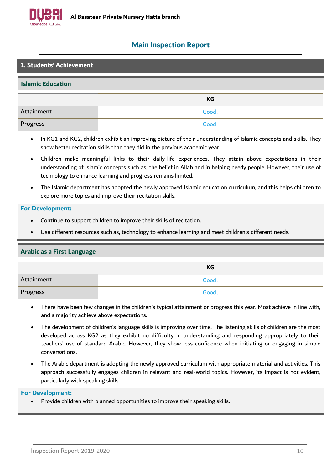

### <span id="page-9-0"></span>**Main Inspection Report**

| 1. Students' Achievement |      |  |
|--------------------------|------|--|
| <b>Islamic Education</b> |      |  |
|                          | KG   |  |
| Attainment               | Good |  |
| Progress                 | Good |  |

- In KG1 and KG2, children exhibit an improving picture of their understanding of Islamic concepts and skills. They show better recitation skills than they did in the previous academic year.
- Children make meaningful links to their daily-life experiences. They attain above expectations in their understanding of Islamic concepts such as, the belief in Allah and in helping needy people. However, their use of technology to enhance learning and progress remains limited.
- The Islamic department has adopted the newly approved Islamic education curriculum, and this helps children to explore more topics and improve their recitation skills.

#### **For Development:**

- Continue to support children to improve their skills of recitation.
- Use different resources such as, technology to enhance learning and meet children's different needs.

### **Arabic as a First Language**

|            | КG   |
|------------|------|
| Attainment | Good |
| Progress   | Good |

- There have been few changes in the children's typical attainment or progress this year. Most achieve in line with, and a majority achieve above expectations.
- The development of children's language skills is improving over time. The listening skills of children are the most developed across KG2 as they exhibit no difficulty in understanding and responding appropriately to their teachers' use of standard Arabic. However, they show less confidence when initiating or engaging in simple conversations.
- The Arabic department is adopting the newly approved curriculum with appropriate material and activities. This approach successfully engages children in relevant and real-world topics. However, its impact is not evident, particularly with speaking skills.

### **For Development:**

• Provide children with planned opportunities to improve their speaking skills.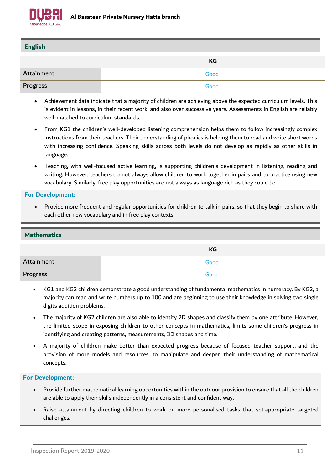

| <b>English</b> |      |
|----------------|------|
|                |      |
|                | KG   |
| Attainment     | Good |
| Progress       | Good |

- Achievement data indicate that a majority of children are achieving above the expected curriculum levels. This is evident in lessons, in their recent work, and also over successive years. Assessments in English are reliably well-matched to curriculum standards.
- From KG1 the children's well-developed listening comprehension helps them to follow increasingly complex instructions from their teachers. Their understanding of phonics is helping them to read and write short words with increasing confidence. Speaking skills across both levels do not develop as rapidly as other skills in language.
- Teaching, with well-focused active learning, is supporting children's development in listening, reading and writing. However, teachers do not always allow children to work together in pairs and to practice using new vocabulary. Similarly, free play opportunities are not always as language rich as they could be.

• Provide more frequent and regular opportunities for children to talk in pairs, so that they begin to share with each other new vocabulary and in free play contexts.

| <b>Mathematics</b> |      |
|--------------------|------|
|                    | KG   |
| Attainment         | Good |
| Progress           | Good |

- KG1 and KG2 children demonstrate a good understanding of fundamental mathematics in numeracy. By KG2, a majority can read and write numbers up to 100 and are beginning to use their knowledge in solving two single digits addition problems.
- The majority of KG2 children are also able to identify 2D shapes and classify them by one attribute. However, the limited scope in exposing children to other concepts in mathematics, limits some children's progress in identifying and creating patterns, measurements, 3D shapes and time.
- A majority of children make better than expected progress because of focused teacher support, and the provision of more models and resources, to manipulate and deepen their understanding of mathematical concepts.

- Provide further mathematical learning opportunities within the outdoor provision to ensure that all the children are able to apply their skills independently in a consistent and confident way.
- Raise attainment by directing children to work on more personalised tasks that set appropriate targeted challenges.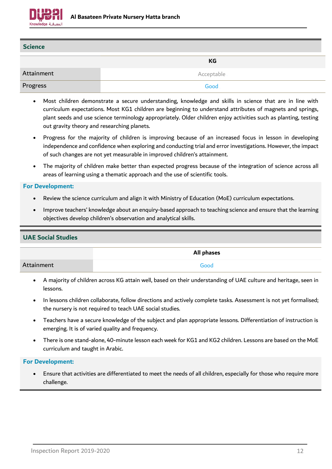

| <b>Science</b> |             |
|----------------|-------------|
|                | KG          |
| Attainment     | Acceptable. |
| Progress       | Good        |

- Most children demonstrate a secure understanding, knowledge and skills in science that are in line with curriculum expectations. Most KG1 children are beginning to understand attributes of magnets and springs, plant seeds and use science terminology appropriately. Older children enjoy activities such as planting, testing out gravity theory and researching planets.
- Progress for the majority of children is improving because of an increased focus in lesson in developing independence and confidence when exploring and conducting trial and error investigations. However, the impact of such changes are not yet measurable in improved children's attainment.
- The majority of children make better than expected progress because of the integration of science across all areas of learning using a thematic approach and the use of scientific tools.

- Review the science curriculum and align it with Ministry of Education (MoE) curriculum expectations.
- Improve teachers' knowledge about an enquiry-based approach to teaching science and ensure that the learning objectives develop children's observation and analytical skills.

# **UAE Social Studies All phases** Attainment Good

- A majority of children across KG attain well, based on their understanding of UAE culture and heritage, seen in lessons.
- In lessons children collaborate, follow directions and actively complete tasks. Assessment is not yet formalised; the nursery is not required to teach UAE social studies.
- Teachers have a secure knowledge of the subject and plan appropriate lessons. Differentiation of instruction is emerging. It is of varied quality and frequency.
- There is one stand-alone, 40-minute lesson each week for KG1 and KG2 children. Lessons are based on the MoE curriculum and taught in Arabic.

### **For Development:**

• Ensure that activities are differentiated to meet the needs of all children, especially for those who require more challenge.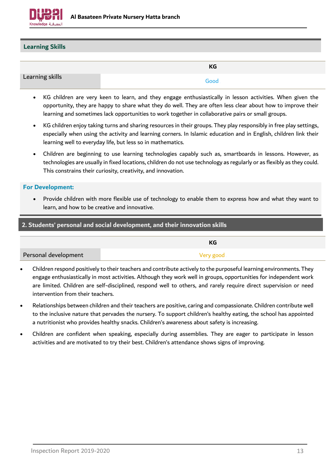

#### **Learning Skills**

|                 | <b>KG</b> |
|-----------------|-----------|
| Learning skills | Good.     |

- KG children are very keen to learn, and they engage enthusiastically in lesson activities. When given the opportunity, they are happy to share what they do well. They are often less clear about how to improve their learning and sometimes lack opportunities to work together in collaborative pairs or small groups.
- KG children enjoy taking turns and sharing resources in their groups. They play responsibly in free play settings, especially when using the activity and learning corners. In Islamic education and in English, children link their learning well to everyday life, but less so in mathematics.
- Children are beginning to use learning technologies capably such as, smartboards in lessons. However, as technologies are usually in fixed locations, children do not use technology as regularly or as flexibly as they could. This constrains their curiosity, creativity, and innovation.

#### **For Development:**

• Provide children with more flexible use of technology to enable them to express how and what they want to learn, and how to be creative and innovative.

| 2. Students' personal and social development, and their innovation skills |           |
|---------------------------------------------------------------------------|-----------|
|                                                                           | KG        |
| Personal development                                                      | Very good |

- Children respond positively to their teachers and contribute actively to the purposeful learning environments. They engage enthusiastically in most activities. Although they work well in groups, opportunities for independent work are limited. Children are self-disciplined, respond well to others, and rarely require direct supervision or need intervention from their teachers.
- Relationships between children and their teachers are positive, caring and compassionate. Children contribute well to the inclusive nature that pervades the nursery. To support children's healthy eating, the school has appointed a nutritionist who provides healthy snacks. Children's awareness about safety is increasing.
- Children are confident when speaking, especially during assemblies. They are eager to participate in lesson activities and are motivated to try their best. Children's attendance shows signs of improving.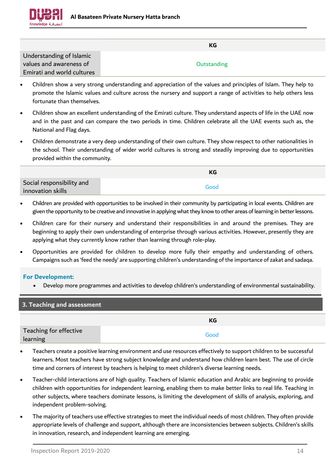

|                            | КG          |
|----------------------------|-------------|
| Understanding of Islamic   |             |
| values and awareness of    | Outstanding |
| Emirati and world cultures |             |

- Children show a very strong understanding and appreciation of the values and principles of Islam. They help to promote the Islamic values and culture across the nursery and support a range of activities to help others less fortunate than themselves.
- Children show an excellent understanding of the Emirati culture. They understand aspects of life in the UAE now and in the past and can compare the two periods in time. Children celebrate all the UAE events such as, the National and Flag days.
- Children demonstrate a very deep understanding of their own culture. They show respect to other nationalities in the school. Their understanding of wider world cultures is strong and steadily improving due to opportunities provided within the community.

|                           | КG   |
|---------------------------|------|
| Social responsibility and |      |
| innovation skills         | Good |

- Children are provided with opportunities to be involved in their community by participating in local events. Children are given the opportunity to be creative and innovative in applying what they know to other areas of learning in better lessons.
- Children care for their nursery and understand their responsibilities in and around the premises. They are beginning to apply their own understanding of enterprise through various activities. However, presently they are applying what they currently know rather than learning through role-play.
- Opportunities are provided for children to develop more fully their empathy and understanding of others. Campaigns such as 'feed the needy' are supporting children's understanding of the importance of zakat and sadaqa.

• Develop more programmes and activities to develop children's understanding of environmental sustainability.

| 3. Teaching and assessment         |      |
|------------------------------------|------|
|                                    | КG   |
| Teaching for effective<br>learning | Good |

- Teachers create a positive learning environment and use resources effectively to support children to be successful learners. Most teachers have strong subject knowledge and understand how children learn best. The use of circle time and corners of interest by teachers is helping to meet children's diverse learning needs.
- Teacher-child interactions are of high quality. Teachers of Islamic education and Arabic are beginning to provide children with opportunities for independent learning, enabling them to make better links to real life. Teaching in other subjects, where teachers dominate lessons, is limiting the development of skills of analysis, exploring, and independent problem-solving.
- The majority of teachers use effective strategies to meet the individual needs of most children. They often provide appropriate levels of challenge and support, although there are inconsistencies between subjects. Children's skills in innovation, research, and independent learning are emerging.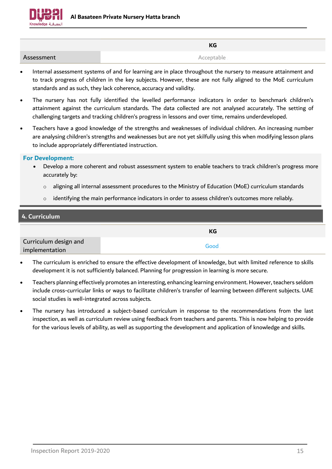

|            | <b>KG</b>  |
|------------|------------|
| Assessment | Acceptable |

- Internal assessment systems of and for learning are in place throughout the nursery to measure attainment and to track progress of children in the key subjects. However, these are not fully aligned to the MoE curriculum standards and as such, they lack coherence, accuracy and validity.
- The nursery has not fully identified the levelled performance indicators in order to benchmark children's attainment against the curriculum standards. The data collected are not analysed accurately. The setting of challenging targets and tracking children's progress in lessons and over time, remains underdeveloped.
- Teachers have a good knowledge of the strengths and weaknesses of individual children. An increasing number are analysing children's strengths and weaknesses but are not yet skilfully using this when modifying lesson plans to include appropriately differentiated instruction.

- Develop a more coherent and robust assessment system to enable teachers to track children's progress more accurately by:
	- $\circ$  aligning all internal assessment procedures to the Ministry of Education (MoE) curriculum standards
	- $\circ$  identifying the main performance indicators in order to assess children's outcomes more reliably.

| 4. Curriculum                           |      |
|-----------------------------------------|------|
|                                         | КG   |
| Curriculum design and<br>implementation | Good |

- The curriculum is enriched to ensure the effective development of knowledge, but with limited reference to skills development it is not sufficiently balanced. Planning for progression in learning is more secure.
- Teachers planning effectively promotes an interesting, enhancing learning environment. However, teachers seldom include cross-curricular links or ways to facilitate children's transfer of learning between different subjects. UAE social studies is well-integrated across subjects.
- The nursery has introduced a subject-based curriculum in response to the recommendations from the last inspection, as well as curriculum review using feedback from teachers and parents. This is now helping to provide for the various levels of ability, as well as supporting the development and application of knowledge and skills.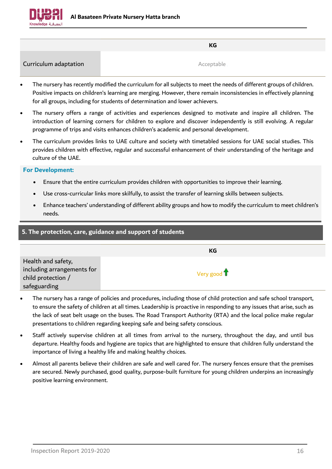

**KG**

**Curriculum adaptation** and **Acceptable** 

- The nursery has recently modified the curriculum for all subjects to meet the needs of different groups of children. Positive impacts on children's learning are merging. However, there remain inconsistencies in effectively planning for all groups, including for students of determination and lower achievers.
- The nursery offers a range of activities and experiences designed to motivate and inspire all children. The introduction of learning corners for children to explore and discover independently is still evolving. A regular programme of trips and visits enhances children's academic and personal development.
- The curriculum provides links to UAE culture and society with timetabled sessions for UAE social studies. This provides children with effective, regular and successful enhancement of their understanding of the heritage and culture of the UAE.

- Ensure that the entire curriculum provides children with opportunities to improve their learning.
- Use cross-curricular links more skilfully, to assist the transfer of learning skills between subjects.
- Enhance teachers' understanding of different ability groups and how to modify the curriculum to meet children's needs.

| 5. The protection, care, guidance and support of students                              |                              |
|----------------------------------------------------------------------------------------|------------------------------|
|                                                                                        | КG                           |
| Health and safety,<br>including arrangements for<br>child protection /<br>safeguarding | Very good $\mathbf{\hat{T}}$ |

- The nursery has a range of policies and procedures, including those of child protection and safe school transport, to ensure the safety of children at all times. Leadership is proactive in responding to any issues that arise, such as the lack of seat belt usage on the buses. The Road Transport Authority (RTA) and the local police make regular presentations to children regarding keeping safe and being safety conscious.
- Staff actively supervise children at all times from arrival to the nursery, throughout the day, and until bus departure. Healthy foods and hygiene are topics that are highlighted to ensure that children fully understand the importance of living a healthy life and making healthy choices.
- Almost all parents believe their children are safe and well cared for. The nursery fences ensure that the premises are secured. Newly purchased, good quality, purpose-built furniture for young children underpins an increasingly positive learning environment.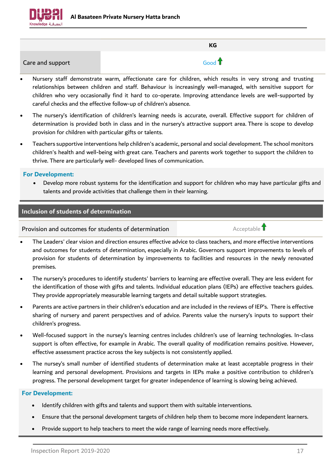

|                  | KG                |
|------------------|-------------------|
| Care and support | Good <sup>1</sup> |

- Nursery staff demonstrate warm, affectionate care for children, which results in very strong and trusting relationships between children and staff. Behaviour is increasingly well-managed, with sensitive support for children who very occasionally find it hard to co-operate. Improving attendance levels are well-supported by careful checks and the effective follow-up of children's absence.
- The nursery's identification of children's learning needs is accurate, overall. Effective support for children of determination is provided both in class and in the nursery's attractive support area. There is scope to develop provision for children with particular gifts or talents.
- Teachers supportive interventions help children's academic, personal and social development. The school monitors children's health and well-being with great care. Teachers and parents work together to support the children to thrive. There are particularly well- developed lines of communication.

• Develop more robust systems for the identification and support for children who may have particular gifts and talents and provide activities that challenge them in their learning.

### **Inclusion of students of determination**

Provision and outcomes for students of determination  $\overline{\mathbf{f}}$  Acceptable  $\overline{\mathbf{f}}$ 

- The Leaders' clear vision and direction ensures effective advice to class teachers, and more effective interventions and outcomes for students of determination, especially in Arabic. Governors support improvements to levels of provision for students of determination by improvements to facilities and resources in the newly renovated premises.
- The nursery's procedures to identify students' barriers to learning are effective overall. They are less evident for the identification of those with gifts and talents. Individual education plans (IEPs) are effective teachers guides. They provide appropriately measurable learning targets and detail suitable support strategies.
- Parents are active partners in their children's education and are included in the reviews of IEP's. There is effective sharing of nursery and parent perspectives and of advice. Parents value the nursery's inputs to support their children's progress.
- Well-focused support in the nursey's learning centres includes children's use of learning technologies. In-class support is often effective, for example in Arabic. The overall quality of modification remains positive. However, effective assessment practice across the key subjects is not consistently applied.
- The nursey's small number of identified students of determination make at least acceptable progress in their learning and personal development. Provisions and targets in IEPs make a positive contribution to children's progress. The personal development target for greater independence of learning is slowing being achieved.

- Identify children with gifts and talents and support them with suitable interventions.
- Ensure that the personal development targets of children help them to become more independent learners.
- Provide support to help teachers to meet the wide range of learning needs more effectively.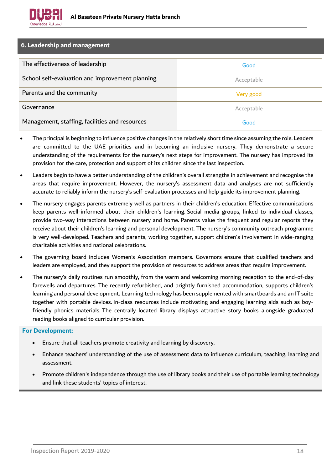

| 6. Leadership and management                    |            |
|-------------------------------------------------|------------|
| The effectiveness of leadership                 | Good       |
| School self-evaluation and improvement planning | Acceptable |
| Parents and the community                       | Very good  |
| Governance                                      | Acceptable |
| Management, staffing, facilities and resources  | Good       |

- The principal is beginning to influence positive changes in the relatively short time since assuming the role. Leaders are committed to the UAE priorities and in becoming an inclusive nursery. They demonstrate a secure understanding of the requirements for the nursery's next steps for improvement. The nursery has improved its provision for the care, protection and support of its children since the last inspection.
- Leaders begin to have a better understanding of the children's overall strengths in achievement and recognise the areas that require improvement. However, the nursery's assessment data and analyses are not sufficiently accurate to reliably inform the nursery's self-evaluation processes and help guide its improvement planning.
- The nursery engages parents extremely well as partners in their children's education. Effective communications keep parents well-informed about their children's learning. Social media groups, linked to individual classes, provide two-way interactions between nursery and home. Parents value the frequent and regular reports they receive about their children's learning and personal development. The nursery's community outreach programme is very well-developed. Teachers and parents, working together, support children's involvement in wide-ranging charitable activities and national celebrations.
- The governing board includes Women's Association members. Governors ensure that qualified teachers and leaders are employed, and they support the provision of resources to address areas that require improvement.
- The nursery's daily routines run smoothly, from the warm and welcoming morning reception to the end-of-day farewells and departures. The recently refurbished, and brightly furnished accommodation, supports children's learning and personal development. Learning technology has been supplemented with smartboards and an IT suite together with portable devices. In-class resources include motivating and engaging learning aids such as boyfriendly phonics materials. The centrally located library displays attractive story books alongside graduated reading books aligned to curricular provision.

- Ensure that all teachers promote creativity and learning by discovery.
- Enhance teachers' understanding of the use of assessment data to influence curriculum, teaching, learning and assessment.
- Promote children's independence through the use of library books and their use of portable learning technology and link these students' topics of interest.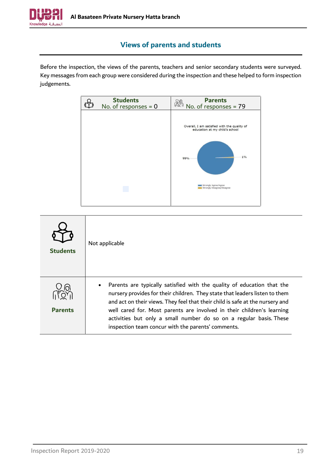

### **Views of parents and students**

<span id="page-18-0"></span>Before the inspection, the views of the parents, teachers and senior secondary students were surveyed. Key messages from each group were considered during the inspection and these helped to form inspection judgements.



| <b>Students</b> | Not applicable                                                                                                                                                                                                                                                                                                                                                                                                                               |
|-----------------|----------------------------------------------------------------------------------------------------------------------------------------------------------------------------------------------------------------------------------------------------------------------------------------------------------------------------------------------------------------------------------------------------------------------------------------------|
| <b>Parents</b>  | Parents are typically satisfied with the quality of education that the<br>nursery provides for their children. They state that leaders listen to them<br>and act on their views. They feel that their child is safe at the nursery and<br>well cared for. Most parents are involved in their children's learning<br>activities but only a small number do so on a regular basis. These<br>inspection team concur with the parents' comments. |